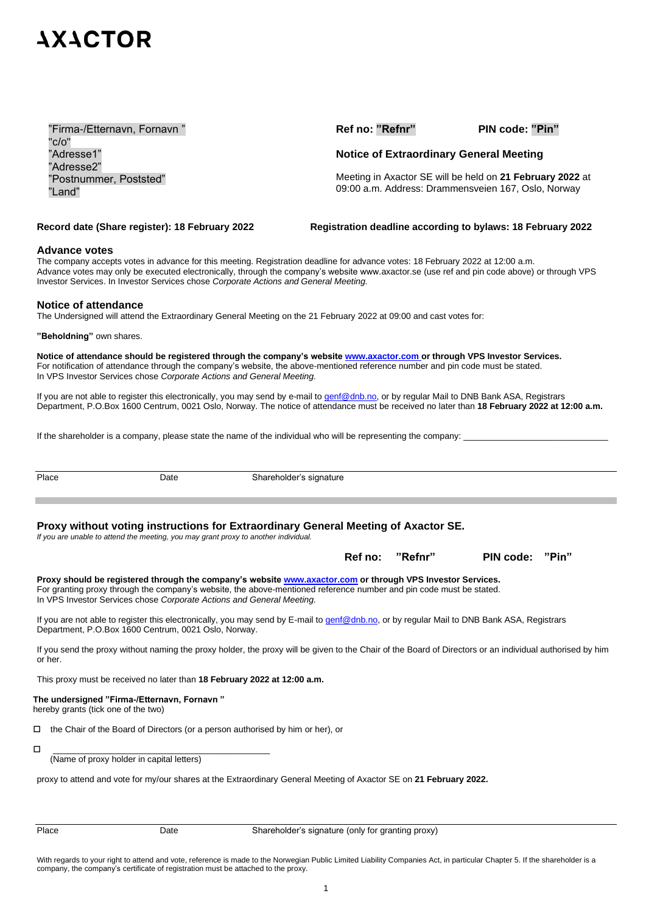## **7X7CLOB**

"Firma-/Etternavn, Fornavn " "c/o" "Adresse1" "Adresse2" "Postnummer, Poststed" "Land"

**Ref no: "Refnr" PIN code: "Pin"**

### **Notice of Extraordinary General Meeting**

Meeting in Axactor SE will be held on **21 February 2022** at 09:00 a.m. Address: Drammensveien 167, Oslo, Norway

**Record date (Share register): 18 February 2022 Registration deadline according to bylaws: 18 February 2022** 

#### **Advance votes**

The company accepts votes in advance for this meeting. Registration deadline for advance votes: 18 February 2022 at 12:00 a.m. Advance votes may only be executed electronically, through the company's website www.axactor.se (use ref and pin code above) or through VPS Investor Services. In Investor Services chose *Corporate Actions and General Meeting.*

#### **Notice of attendance**

The Undersigned will attend the Extraordinary General Meeting on the 21 February 2022 at 09:00 and cast votes for:

**"Beholdning"** own shares.

**Notice of attendance should be registered through the company's website [www.axactor.com](http://www.axactor.com/) or through VPS Investor Services.** For notification of attendance through the company's website, the above-mentioned reference number and pin code must be stated. In VPS Investor Services chose *Corporate Actions and General Meeting.*

If you are not able to register this electronically, you may send by e-mail to [genf@dnb.no,](mailto:genf@dnb.no) or by regular Mail to DNB Bank ASA, Registrars Department, P.O.Box 1600 Centrum, 0021 Oslo, Norway. The notice of attendance must be received no later than **18 February 2022 at 12:00 a.m.**

If the shareholder is a company, please state the name of the individual who will be representing the company:

Place Date Date Shareholder's signature

**Proxy without voting instructions for Extraordinary General Meeting of Axactor SE.** 

*If you are unable to attend the meeting, you may grant proxy to another individual.*

| Ref no: "Refnr" | PIN code: "Pin" |  |
|-----------------|-----------------|--|
|                 |                 |  |

**Proxy should be registered through the company's website www.axactor.com or through VPS Investor Services.** For granting proxy through the company's website, the above-mentioned reference number and pin code must be stated. In VPS Investor Services chose *Corporate Actions and General Meeting.*

If you are not able to register this electronically, you may send by E-mail to [genf@dnb.no,](mailto:genf@dnb.no) or by regular Mail to DNB Bank ASA, Registrars Department, P.O.Box 1600 Centrum, 0021 Oslo, Norway.

If you send the proxy without naming the proxy holder, the proxy will be given to the Chair of the Board of Directors or an individual authorised by him or her.

This proxy must be received no later than **18 February 2022 at 12:00 a.m.**

#### **The undersigned "Firma-/Etternavn, Fornavn "** hereby grants (tick one of the two)

 $\Box$  the Chair of the Board of Directors (or a person authorised by him or her), or

\_\_\_\_\_\_\_\_\_\_\_\_\_\_\_\_\_\_\_\_\_\_\_\_\_\_\_\_\_\_\_\_\_\_\_\_\_\_\_\_\_\_\_\_\_

(Name of proxy holder in capital letters)

proxy to attend and vote for my/our shares at the Extraordinary General Meeting of Axactor SE on **21 February 2022.**

With regards to your right to attend and vote, reference is made to the Norwegian Public Limited Liability Companies Act, in particular Chapter 5. If the shareholder is a company, the company's certificate of registration must be attached to the proxy.